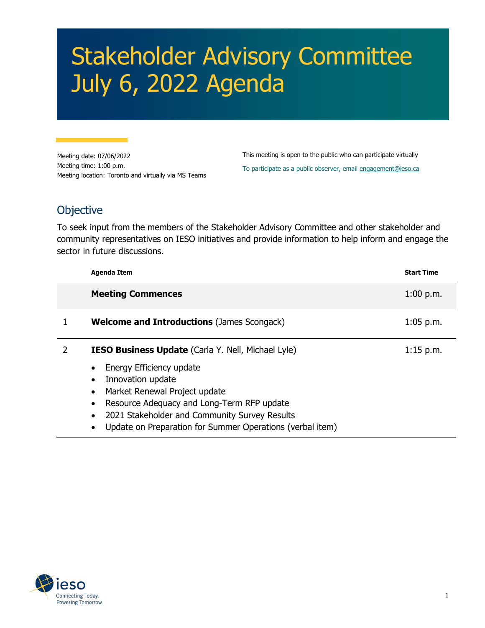## Stakeholder Advisory Committee July 6, 2022 Agenda

Meeting date: 07/06/2022 Meeting time: 1:00 p.m. Meeting location: Toronto and virtually via MS Teams

This meeting is open to the public who can participate virtually To participate as a public observer, email [engagement@ieso.ca](mailto:engagement@ieso.ca)

## **Objective**

To seek input from the members of the Stakeholder Advisory Committee and other stakeholder and community representatives on IESO initiatives and provide information to help inform and engage the sector in future discussions.

| <b>Agenda Item</b>                                                                                                                                                                                                                         | <b>Start Time</b> |
|--------------------------------------------------------------------------------------------------------------------------------------------------------------------------------------------------------------------------------------------|-------------------|
| <b>Meeting Commences</b>                                                                                                                                                                                                                   | $1:00$ p.m.       |
| <b>Welcome and Introductions (James Scongack)</b>                                                                                                                                                                                          | $1:05$ p.m.       |
| <b>IESO Business Update</b> (Carla Y. Nell, Michael Lyle)                                                                                                                                                                                  | $1:15$ p.m.       |
| Energy Efficiency update<br>Innovation update<br>Market Renewal Project update<br>Resource Adequacy and Long-Term RFP update<br>2021 Stakeholder and Community Survey Results<br>Update on Preparation for Summer Operations (verbal item) |                   |